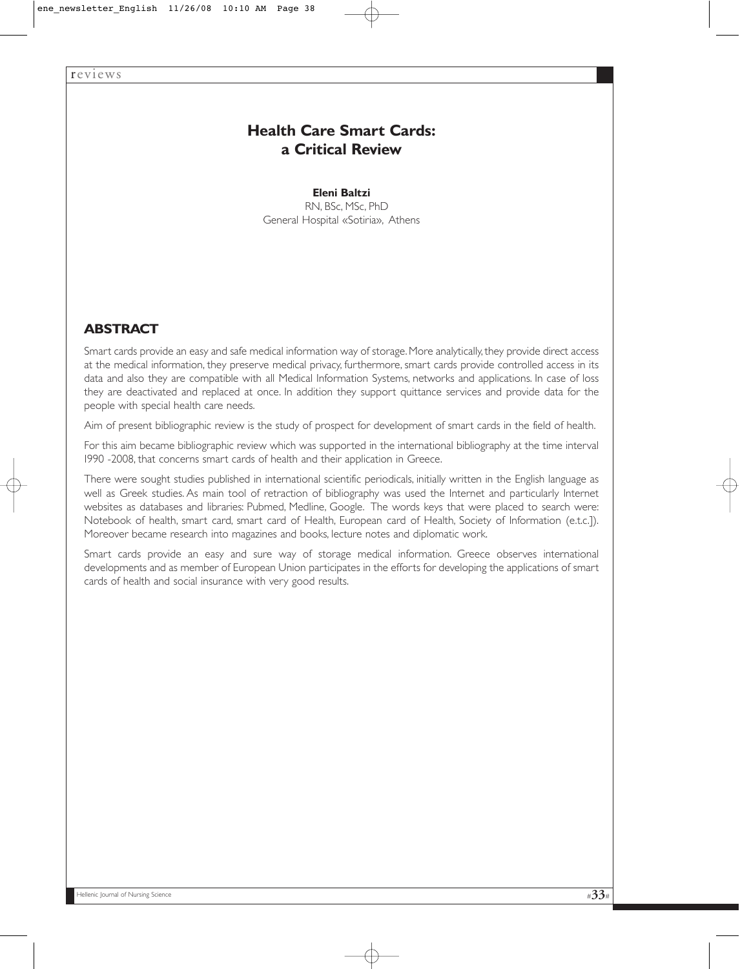# **Health Care Smart Cards: a Critical Review**

**Eleni Baltzi**  RN, BSc, MSc, PhD General Hospital «Sotiria», Athens

# **ABSTRACT**

Smart cards provide an easy and safe medical information way of storage. More analytically, they provide direct access at the medical information, they preserve medical privacy, furthermore, smart cards provide controlled access in its data and also they are compatible with all Medical Information Systems, networks and applications. In case of loss they are deactivated and replaced at once. In addition they support quittance services and provide data for the people with special health care needs.

Aim of present bibliographic review is the study of prospect for development of smart cards in the field of health.

For this aim became bibliographic review which was supported in the international bibliography at the time interval 1990 -2008, that concerns smart cards of health and their application in Greece.

There were sought studies published in international scientific periodicals, initially written in the English language as well as Greek studies. As main tool of retraction of bibliography was used the Internet and particularly Internet websites as databases and libraries: Pubmed, Medline, Google. The words keys that were placed to search were: Notebook of health, smart card, smart card of Health, European card of Health, Society of Information (e.t.c.]). Moreover became research into magazines and books, lecture notes and diplomatic work.

Smart cards provide an easy and sure way of storage medical information. Greece observes international developments and as member of European Union participates in the efforts for developing the applications of smart cards of health and social insurance with very good results.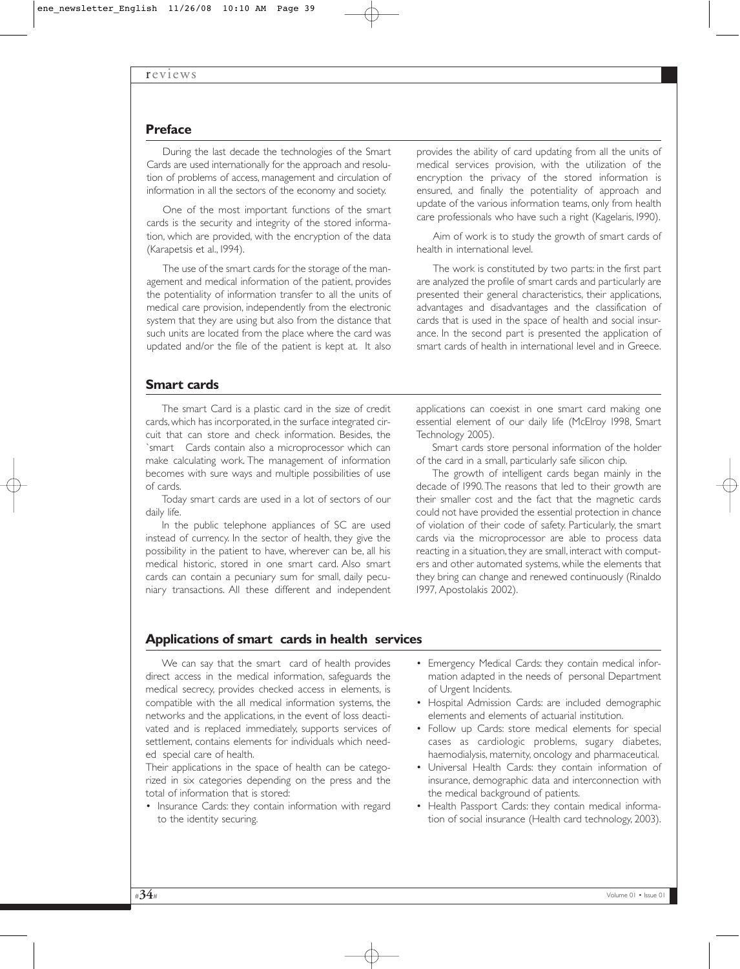### **Preface**

During the last decade the technologies of the Smart Cards are used internationally for the approach and resolution of problems of access, management and circulation of information in all the sectors of the economy and society.

One of the most important functions of the smart cards is the security and integrity of the stored information, which are provided, with the encryption of the data (Karapetsis et al., 1994).

The use of the smart cards for the storage of the management and medical information of the patient, provides the potentiality of information transfer to all the units of medical care provision, independently from the electronic system that they are using but also from the distance that such units are located from the place where the card was updated and/or the file of the patient is kept at. It also

provides the ability of card updating from all the units of medical services provision, with the utilization of the encryption the privacy of the stored information is ensured, and finally the potentiality of approach and update of the various information teams, only from health care professionals who have such a right (Kagelaris, 1990).

Aim of work is to study the growth of smart cards of health in international level.

The work is constituted by two parts: in the first part are analyzed the profile of smart cards and particularly are presented their general characteristics, their applications, advantages and disadvantages and the classification of cards that is used in the space of health and social insurance. In the second part is presented the application of smart cards of health in international level and in Greece.

#### **Smart cards**

The smart Card is a plastic card in the size of credit cards, which has incorporated, in the surface integrated circuit that can store and check information. Besides, the `smart Cards contain also a microprocessor which can make calculating work. The management of information becomes with sure ways and multiple possibilities of use of cards.

Today smart cards are used in a lot of sectors of our daily life.

In the public telephone appliances of SC are used instead of currency. In the sector of health, they give the possibility in the patient to have, wherever can be, all his medical historic, stored in one smart card. Also smart cards can contain a pecuniary sum for small, daily pecuniary transactions. All these different and independent

applications can coexist in one smart card making one essential element of our daily life (McElroy 1998, Smart Technology 2005).

Smart cards store personal information of the holder of the card in a small, particularly safe silicon chip.

The growth of intelligent cards began mainly in the decade of 1990.The reasons that led to their growth are their smaller cost and the fact that the magnetic cards could not have provided the essential protection in chance of violation of their code of safety. Particularly, the smart cards via the microprocessor are able to process data reacting in a situation, they are small, interact with computers and other automated systems, while the elements that they bring can change and renewed continuously (Rinaldo 1997, Αpostolakis 2002).

#### **Applications of smart cards in health services**

We can say that the smart card of health provides direct access in the medical information, safeguards the medical secrecy, provides checked access in elements, is compatible with the all medical information systems, the networks and the applications, in the event of loss deactivated and is replaced immediately, supports services of settlement, contains elements for individuals which needed special care of health.

Their applications in the space of health can be categorized in six categories depending on the press and the total of information that is stored:

• Insurance Cards: they contain information with regard to the identity securing.

- Emergency Medical Cards: they contain medical information adapted in the needs of personal Department of Urgent Incidents.
- Hospital Admission Cards: are included demographic elements and elements of actuarial institution.
- Follow up Cards: store medical elements for special cases as cardiologic problems, sugary diabetes, haemodialysis, maternity, oncology and pharmaceutical.
- Universal Health Cards: they contain information of insurance, demographic data and interconnection with the medical background of patients.
- Health Passport Cards: they contain medical information of social insurance (Ηealth card technology, 2003).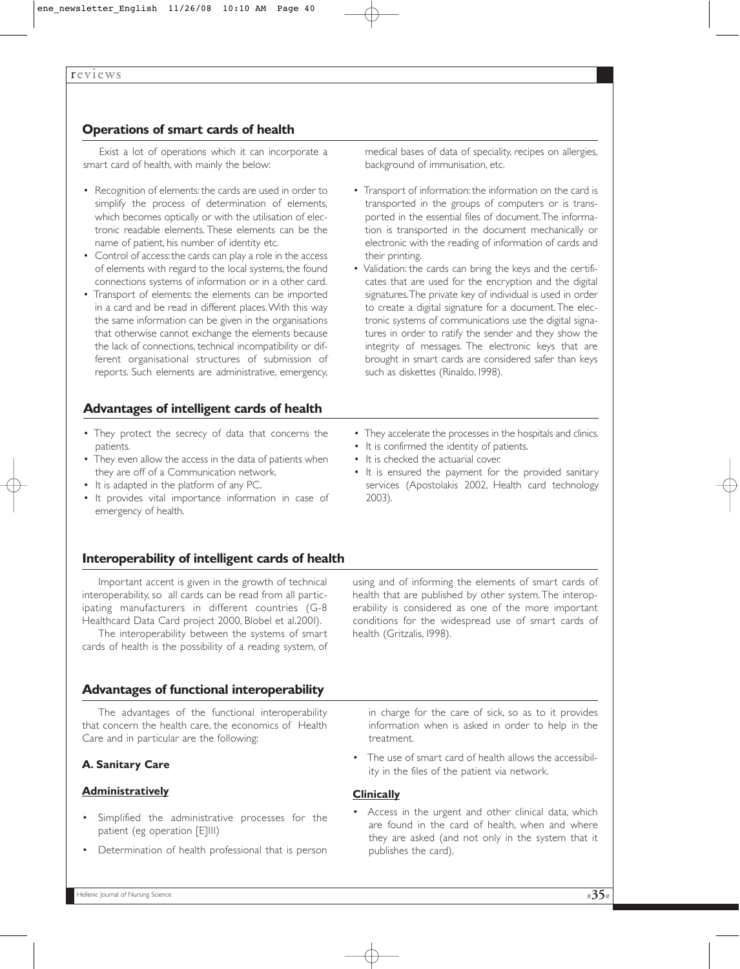# **Operations of smart cards of health**

Exist a lot of operations which it can incorporate a smart card of health, with mainly the below:

- Recognition of elements: the cards are used in order to simplify the process of determination of elements, which becomes optically or with the utilisation of electronic readable elements. These elements can be the name of patient, his number of identity etc.
- Control of access: the cards can play a role in the access of elements with regard to the local systems, the found connections systems of information or in a other card.
- Transport of elements: the elements can be imported in a card and be read in different places.With this way the same information can be given in the organisations that otherwise cannot exchange the elements because the lack of connections, technical incompatibility or different organisational structures of submission of reports. Such elements are administrative, emergency,

# **Advantages of intelligent cards of health**

- They protect the secrecy of data that concerns the patients.
- They even allow the access in the data of patients when they are off of a Communication network.
- It is adapted in the platform of any PC.
- It provides vital importance information in case of emergency of health.

## **Interoperability of intelligent cards of health**

Important accent is given in the growth of technical interoperability, so all cards can be read from all participating manufacturers in different countries (G-8 Healthcard Data Card project 2000, Blobel et al.2001).

The interoperability between the systems of smart cards of health is the possibility of a reading system, of

## **Advantages of functional interoperability**

The advantages of the functional interoperability that concern the health care, the economics of Health Care and in particular are the following:

#### **A. Sanitary Care**

#### **Administratively**

- Simplified the administrative processes for the patient (eg operation [E]III)
- Determination of health professional that is person

medical bases of data of speciality, recipes on allergies, background of immunisation, etc.

- Transport of information: the information on the card is transported in the groups of computers or is transported in the essential files of document.The information is transported in the document mechanically or electronic with the reading of information of cards and their printing.
- Validation: the cards can bring the keys and the certificates that are used for the encryption and the digital signatures.The private key of individual is used in order to create a digital signature for a document.The electronic systems of communications use the digital signatures in order to ratify the sender and they show the integrity of messages. The electronic keys that are brought in smart cards are considered safer than keys such as diskettes (Rinaldo, 1998).
- They accelerate the processes in the hospitals and clinics.
- It is confirmed the identity of patients.
- It is checked the actuarial cover.
- It is ensured the payment for the provided sanitary services (Apostolakis 2002, Ηealth card technology 2003).

using and of informing the elements of smart cards of health that are published by other system.The interoperability is considered as one of the more important conditions for the widespread use of smart cards of health (Gritzalis, 1998).

in charge for the care of sick, so as to it provides information when is asked in order to help in the treatment.

The use of smart card of health allows the accessibility in the files of the patient via network.

#### **Clinically**

• Access in the urgent and other clinical data, which are found in the card of health, when and where they are asked (and not only in the system that it publishes the card).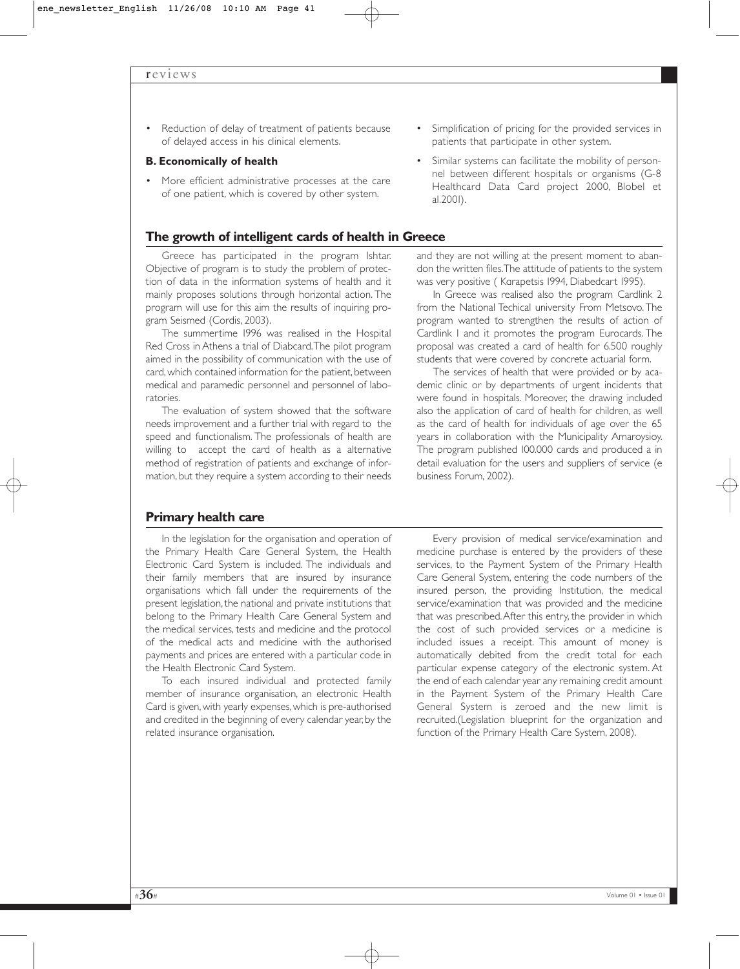Reduction of delay of treatment of patients because of delayed access in his clinical elements.

#### **B. Economically of health**

• More efficient administrative processes at the care of one patient, which is covered by other system.

#### **The growth of intelligent cards of health in Greece**

Greece has participated in the program Ishtar. Objective of program is to study the problem of protection of data in the information systems of health and it mainly proposes solutions through horizontal action. The program will use for this aim the results of inquiring program Seismed (Cordis, 2003).

The summertime 1996 was realised in the Hospital Red Cross in Athens a trial of Diabcard.The pilot program aimed in the possibility of communication with the use of card, which contained information for the patient, between medical and paramedic personnel and personnel of laboratories.

The evaluation of system showed that the software needs improvement and a further trial with regard to the speed and functionalism. The professionals of health are willing to accept the card of health as a alternative method of registration of patients and exchange of information, but they require a system according to their needs

**Primary health care** 

In the legislation for the organisation and operation of the Primary Health Care General System, the Health Electronic Card System is included. The individuals and their family members that are insured by insurance organisations which fall under the requirements of the present legislation, the national and private institutions that belong to the Primary Health Care General System and the medical services, tests and medicine and the protocol of the medical acts and medicine with the authorised payments and prices are entered with a particular code in the Health Electronic Card System.

To each insured individual and protected family member of insurance organisation, an electronic Health Card is given, with yearly expenses, which is pre-authorised and credited in the beginning of every calendar year, by the related insurance organisation.

- Simplification of pricing for the provided services in patients that participate in other system.
- Similar systems can facilitate the mobility of personnel between different hospitals or organisms (G-8 Healthcard Data Card project 2000, Blobel et al.2001).

and they are not willing at the present moment to abandon the written files.The attitude of patients to the system was very positive ( Καrapetsis 1994, Diabedcart 1995).

In Greece was realised also the program Cardlink 2 from the National Techical university From Metsovo. The program wanted to strengthen the results of action of Cardlink 1 and it promotes the program Eurocards. The proposal was created a card of health for 6.500 roughly students that were covered by concrete actuarial form.

The services of health that were provided or by academic clinic or by departments of urgent incidents that were found in hospitals. Moreover, the drawing included also the application of card of health for children, as well as the card of health for individuals of age over the 65 years in collaboration with the Municipality Amaroysioy. The program published 100.000 cards and produced a in detail evaluation for the users and suppliers of service (e business Forum, 2002).

Every provision of medical service/examination and medicine purchase is entered by the providers of these services, to the Payment System of the Primary Health Care General System, entering the code numbers of the insured person, the providing Institution, the medical service/examination that was provided and the medicine that was prescribed.After this entry, the provider in which the cost of such provided services or a medicine is included issues a receipt. This amount of money is automatically debited from the credit total for each particular expense category of the electronic system. At the end of each calendar year any remaining credit amount in the Payment System of the Primary Health Care General System is zeroed and the new limit is recruited.(Legislation blueprint for the organization and function of the Primary Health Care System, 2008).